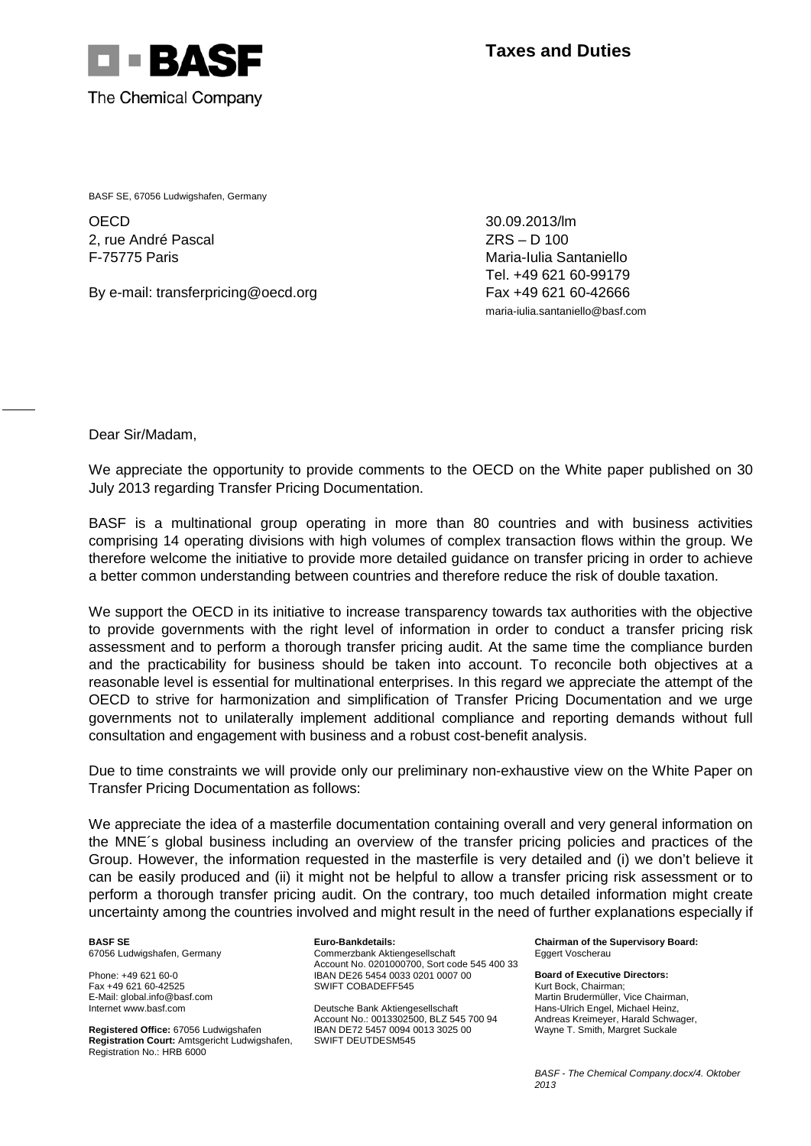

BASF SE, 67056 Ludwigshafen, Germany

**OECD** 2, rue André Pascal F-75775 Paris

By e-mail: transferpricing@oecd.org

30.09.2013/lm ZRS – D 100 Maria-Iulia Santaniello Tel. +49 621 60-99179 Fax +49 621 60-42666 maria-iulia.santaniello@basf.com

Dear Sir/Madam,

We appreciate the opportunity to provide comments to the OECD on the White paper published on 30 July 2013 regarding Transfer Pricing Documentation.

BASF is a multinational group operating in more than 80 countries and with business activities comprising 14 operating divisions with high volumes of complex transaction flows within the group. We therefore welcome the initiative to provide more detailed guidance on transfer pricing in order to achieve a better common understanding between countries and therefore reduce the risk of double taxation.

We support the OECD in its initiative to increase transparency towards tax authorities with the objective to provide governments with the right level of information in order to conduct a transfer pricing risk assessment and to perform a thorough transfer pricing audit. At the same time the compliance burden and the practicability for business should be taken into account. To reconcile both objectives at a reasonable level is essential for multinational enterprises. In this regard we appreciate the attempt of the OECD to strive for harmonization and simplification of Transfer Pricing Documentation and we urge governments not to unilaterally implement additional compliance and reporting demands without full consultation and engagement with business and a robust cost-benefit analysis.

Due to time constraints we will provide only our preliminary non-exhaustive view on the White Paper on Transfer Pricing Documentation as follows:

We appreciate the idea of a masterfile documentation containing overall and very general information on the MNE´s global business including an overview of the transfer pricing policies and practices of the Group. However, the information requested in the masterfile is very detailed and (i) we don't believe it can be easily produced and (ii) it might not be helpful to allow a transfer pricing risk assessment or to perform a thorough transfer pricing audit. On the contrary, too much detailed information might create uncertainty among the countries involved and might result in the need of further explanations especially if

**BASF SE** 67056 Ludwigshafen, Germany

Phone: +49 621 60-0 Fax +49 621 60-42525

E-Mail: global.info@basf.com Internet www.basf.com

**Registered Office:** 67056 Ludwigshafen **Registration Court:** Amtsgericht Ludwigshafen, Registration No.: HRB 6000

**Euro-Bankdetails:** Commerzbank Aktiengesellschaft Account No. 0201000700, Sort code 545 400 33 IBAN DE26 5454 0033 0201 0007 00 SWIFT COBADEFF545

Deutsche Bank Aktiengesellschaft Account No.: 0013302500, BLZ 545 700 94 IBAN DE72 5457 0094 0013 3025 00 SWIFT DEUTDESM545

**Chairman of the Supervisory Board:** Eggert Voscherau

**Board of Executive Directors:** Kurt Bock, Chairman; Martin Brudermüller, Vice Chairman, Hans-Ulrich Engel, Michael Heinz, Andreas Kreimeyer, Harald Schwager, Wayne T. Smith, Margret Suckale

*BASF - The Chemical Company.docx/4. Oktober 2013*